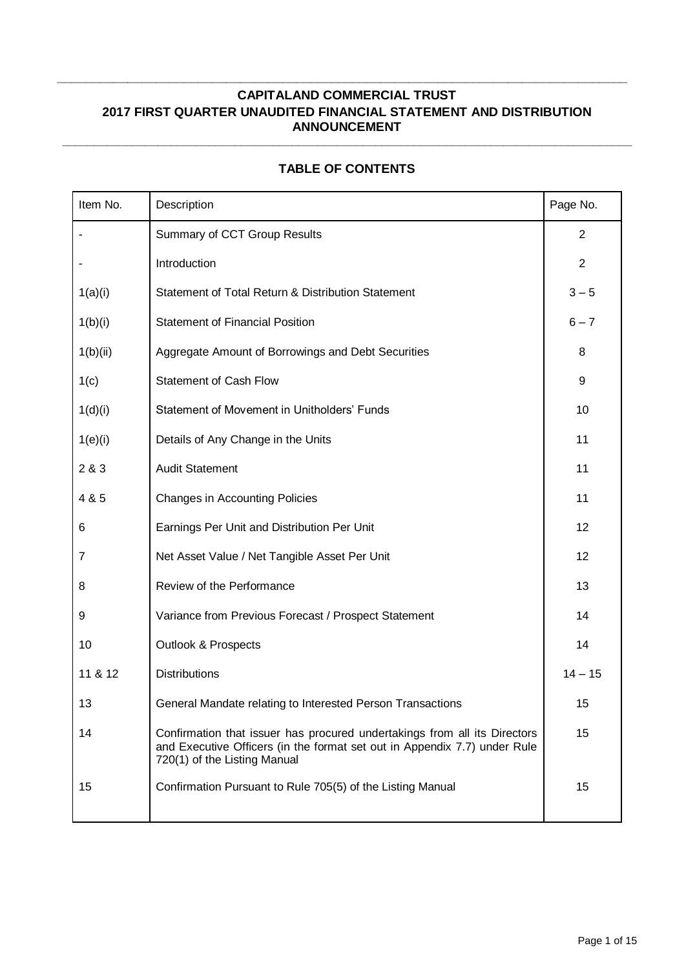**\_\_\_\_\_\_\_\_\_\_\_\_\_\_\_\_\_\_\_\_\_\_\_\_\_\_\_\_\_\_\_\_\_\_\_\_\_\_\_\_\_\_\_\_\_\_\_\_\_\_\_\_\_\_\_\_\_\_\_\_\_\_\_\_\_\_\_\_\_\_\_\_\_\_\_\_\_\_\_\_\_**

| Item No. | Description                                                                                                                                                                            | Page No.       |
|----------|----------------------------------------------------------------------------------------------------------------------------------------------------------------------------------------|----------------|
|          | Summary of CCT Group Results                                                                                                                                                           | $\overline{2}$ |
|          | Introduction                                                                                                                                                                           | $\overline{2}$ |
| 1(a)(i)  | Statement of Total Return & Distribution Statement                                                                                                                                     | $3 - 5$        |
| 1(b)(i)  | <b>Statement of Financial Position</b>                                                                                                                                                 | $6 - 7$        |
| 1(b)(ii) | Aggregate Amount of Borrowings and Debt Securities                                                                                                                                     | 8              |
| 1(c)     | <b>Statement of Cash Flow</b>                                                                                                                                                          | 9              |
| 1(d)(i)  | Statement of Movement in Unitholders' Funds                                                                                                                                            | 10             |
| 1(e)(i)  | Details of Any Change in the Units                                                                                                                                                     | 11             |
| 2 & 3    | <b>Audit Statement</b>                                                                                                                                                                 | 11             |
| 4 & 5    | <b>Changes in Accounting Policies</b>                                                                                                                                                  | 11             |
| 6        | Earnings Per Unit and Distribution Per Unit                                                                                                                                            | 12             |
| 7        | Net Asset Value / Net Tangible Asset Per Unit                                                                                                                                          | 12             |
| 8        | Review of the Performance                                                                                                                                                              | 13             |
| 9        | Variance from Previous Forecast / Prospect Statement                                                                                                                                   | 14             |
| 10       | <b>Outlook &amp; Prospects</b>                                                                                                                                                         | 14             |
| 11 & 12  | <b>Distributions</b>                                                                                                                                                                   | $14 - 15$      |
| 13       | General Mandate relating to Interested Person Transactions                                                                                                                             | 15             |
| 14       | Confirmation that issuer has procured undertakings from all its Directors<br>and Executive Officers (in the format set out in Appendix 7.7) under Rule<br>720(1) of the Listing Manual | 15             |
| 15       | Confirmation Pursuant to Rule 705(5) of the Listing Manual                                                                                                                             | 15             |

# **TABLE OF CONTENTS**

**\_\_\_\_\_\_\_\_\_\_\_\_\_\_\_\_\_\_\_\_\_\_\_\_\_\_\_\_\_\_\_\_\_\_\_\_\_\_\_\_\_\_\_\_\_\_\_\_\_\_\_\_\_\_\_\_\_\_\_\_\_\_\_\_\_\_\_\_\_\_\_\_\_\_\_\_\_\_\_\_\_\_\_\_\_\_\_\_\_**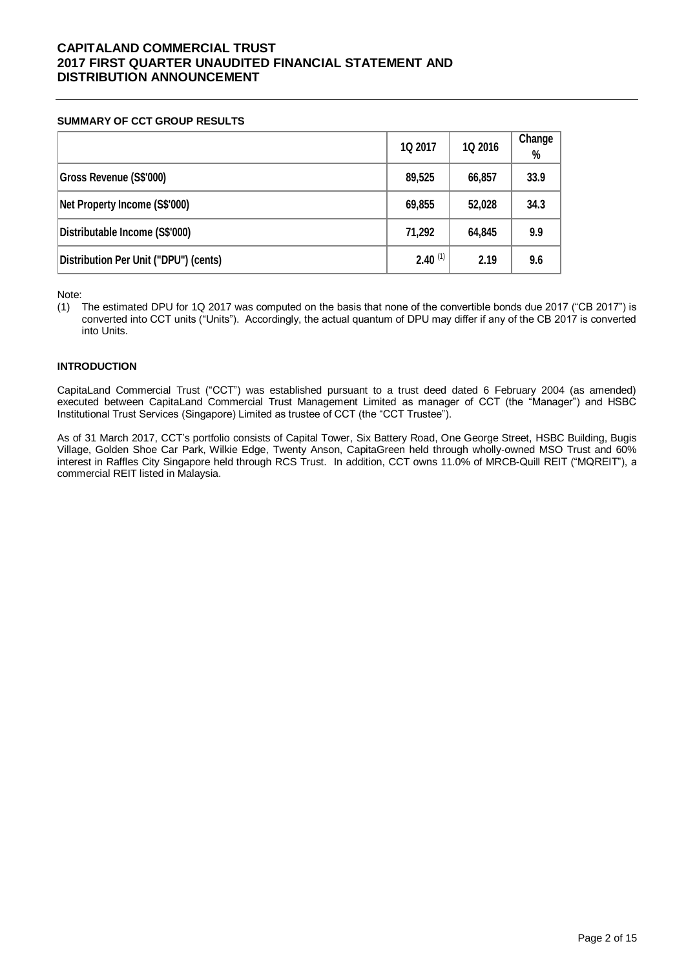#### **SUMMARY OF CCT GROUP RESULTS**

|                                       | 1Q 2017      | 1Q 2016 | Change<br>% |
|---------------------------------------|--------------|---------|-------------|
| Gross Revenue (S\$'000)               | 89,525       | 66,857  | 33.9        |
| Net Property Income (S\$'000)         | 69,855       | 52,028  | 34.3        |
| Distributable Income (S\$'000)        | 71,292       | 64,845  | 9.9         |
| Distribution Per Unit ("DPU") (cents) | $2.40^{(1)}$ | 2.19    | 9.6         |

Note:

(1) The estimated DPU for 1Q 2017 was computed on the basis that none of the convertible bonds due 2017 ("CB 2017") is converted into CCT units ("Units"). Accordingly, the actual quantum of DPU may differ if any of the CB 2017 is converted into Units.

## **INTRODUCTION**

CapitaLand Commercial Trust ("CCT") was established pursuant to a trust deed dated 6 February 2004 (as amended) executed between CapitaLand Commercial Trust Management Limited as manager of CCT (the "Manager") and HSBC Institutional Trust Services (Singapore) Limited as trustee of CCT (the "CCT Trustee").

As of 31 March 2017, CCT's portfolio consists of Capital Tower, Six Battery Road, One George Street, HSBC Building, Bugis Village, Golden Shoe Car Park, Wilkie Edge, Twenty Anson, CapitaGreen held through wholly-owned MSO Trust and 60% interest in Raffles City Singapore held through RCS Trust. In addition, CCT owns 11.0% of MRCB-Quill REIT ("MQREIT"), a commercial REIT listed in Malaysia.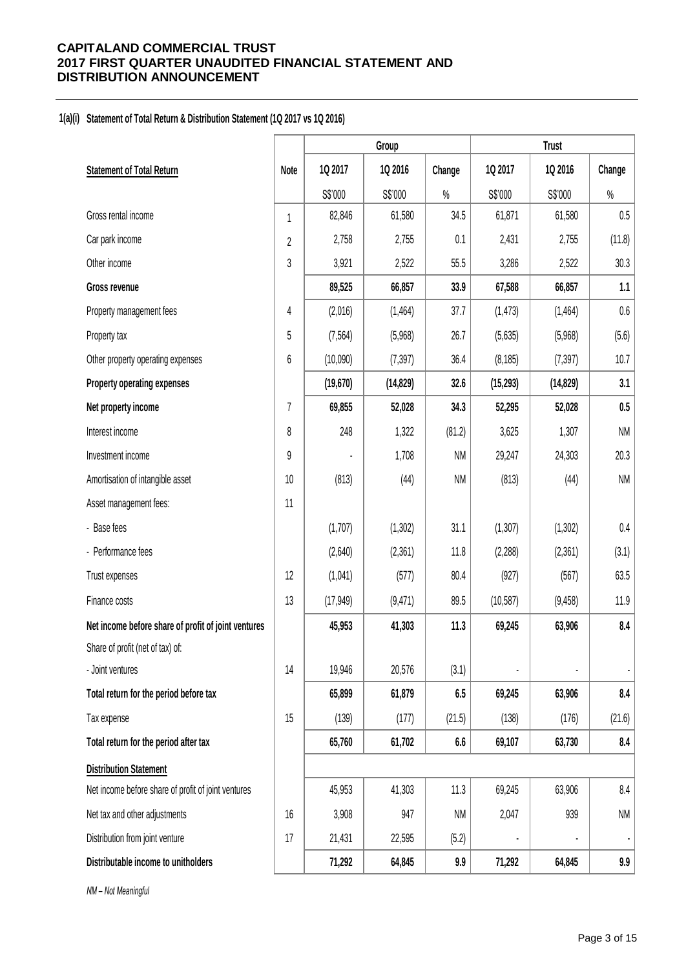## **1(a)(i) Statement of Total Return & Distribution Statement (1Q 2017 vs 1Q 2016)**

|                                                     |                |           | Group     |           |           | <b>Trust</b> |           |
|-----------------------------------------------------|----------------|-----------|-----------|-----------|-----------|--------------|-----------|
| <b>Statement of Total Return</b>                    | Note           | 1Q 2017   | 1Q 2016   | Change    | 1Q 2017   | 1Q 2016      | Change    |
|                                                     |                | S\$'000   | S\$'000   | $\%$      | S\$'000   | S\$'000      | $\%$      |
| Gross rental income                                 | $\mathbf{1}$   | 82,846    | 61,580    | 34.5      | 61,871    | 61,580       | 0.5       |
| Car park income                                     | $\overline{2}$ | 2,758     | 2,755     | 0.1       | 2,431     | 2,755        | (11.8)    |
| Other income                                        | 3              | 3,921     | 2,522     | 55.5      | 3,286     | 2,522        | 30.3      |
| Gross revenue                                       |                | 89,525    | 66,857    | 33.9      | 67,588    | 66,857       | 1.1       |
| Property management fees                            | 4              | (2,016)   | (1,464)   | 37.7      | (1, 473)  | (1,464)      | $0.6\,$   |
| Property tax                                        | $5\,$          | (7, 564)  | (5,968)   | 26.7      | (5,635)   | (5,968)      | (5.6)     |
| Other property operating expenses                   | 6              | (10,090)  | (7, 397)  | 36.4      | (8, 185)  | (7, 397)     | 10.7      |
| Property operating expenses                         |                | (19, 670) | (14, 829) | 32.6      | (15, 293) | (14, 829)    | 3.1       |
| Net property income                                 | $\overline{7}$ | 69,855    | 52,028    | 34.3      | 52,295    | 52,028       | $0.5\,$   |
| Interest income                                     | 8              | 248       | 1,322     | (81.2)    | 3,625     | 1,307        | <b>NM</b> |
| Investment income                                   | 9              |           | 1,708     | <b>NM</b> | 29,247    | 24,303       | 20.3      |
| Amortisation of intangible asset                    | 10             | (813)     | (44)      | <b>NM</b> | (813)     | (44)         | <b>NM</b> |
| Asset management fees:                              | 11             |           |           |           |           |              |           |
| - Base fees                                         |                | (1,707)   | (1,302)   | 31.1      | (1, 307)  | (1,302)      | $0.4\,$   |
| - Performance fees                                  |                | (2,640)   | (2,361)   | 11.8      | (2, 288)  | (2,361)      | (3.1)     |
| Trust expenses                                      | 12             | (1,041)   | (577)     | 80.4      | (927)     | (567)        | 63.5      |
| Finance costs                                       | 13             | (17, 949) | (9,471)   | 89.5      | (10, 587) | (9, 458)     | 11.9      |
| Net income before share of profit of joint ventures |                | 45,953    | 41,303    | 11.3      | 69,245    | 63,906       | 8.4       |
| Share of profit (net of tax) of:                    |                |           |           |           |           |              |           |
| - Joint ventures                                    | 14             | 19,946    | 20,576    | (3.1)     |           |              |           |
| Total return for the period before tax              |                | 65,899    | 61,879    | 6.5       | 69,245    | 63,906       | 8.4       |
| Tax expense                                         | 15             | (139)     | (177)     | (21.5)    | (138)     | (176)        | (21.6)    |
| Total return for the period after tax               |                | 65,760    | 61,702    | 6.6       | 69,107    | 63,730       | 8.4       |
| <b>Distribution Statement</b>                       |                |           |           |           |           |              |           |
| Net income before share of profit of joint ventures |                | 45,953    | 41,303    | 11.3      | 69,245    | 63,906       | 8.4       |
| Net tax and other adjustments                       | 16             | 3,908     | 947       | <b>NM</b> | 2,047     | 939          | <b>NM</b> |
| Distribution from joint venture                     | 17             | 21,431    | 22,595    | (5.2)     |           |              |           |
| Distributable income to unitholders                 |                | 71,292    | 64,845    | 9.9       | 71,292    | 64,845       | 9.9       |

*NM – Not Meaningful*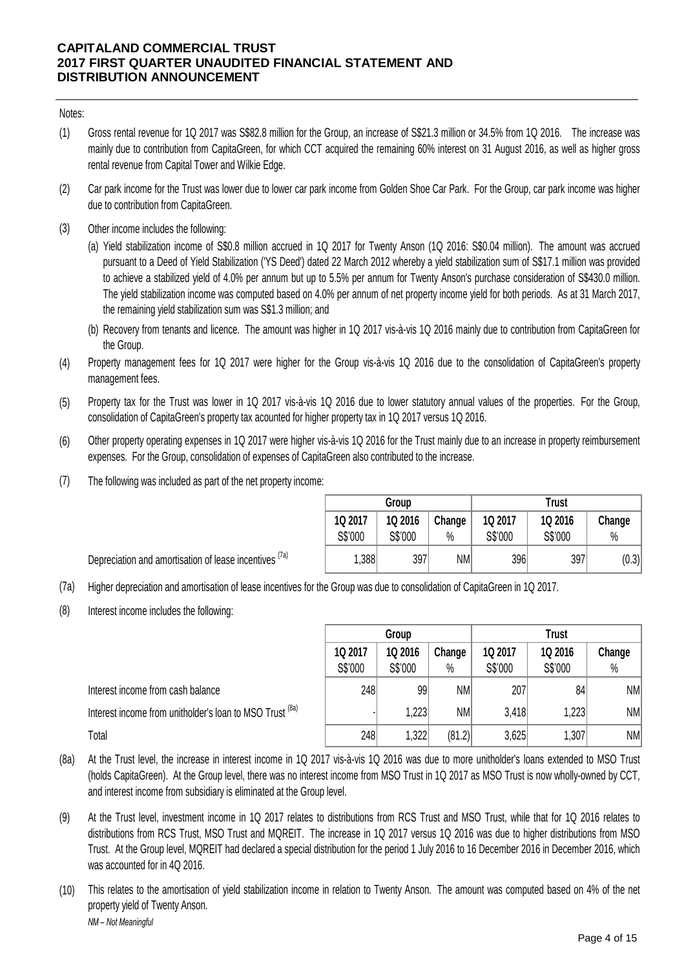## Notes:

- (1) Gross rental revenue for 1Q 2017 was S\$82.8 million for the Group, an increase of S\$21.3 million or 34.5% from 1Q 2016. The increase was mainly due to contribution from CapitaGreen, for which CCT acquired the remaining 60% interest on 31 August 2016, as well as higher gross rental revenue from Capital Tower and Wilkie Edge.
- (2) Car park income for the Trust was lower due to lower car park income from Golden Shoe Car Park. For the Group, car park income was higher due to contribution from CapitaGreen.
- (3) Other income includes the following:

(a) Yield stabilization income of S\$0.8 million accrued in 1Q 2017 for Twenty Anson (1Q 2016: S\$0.04 million). The amount was accrued pursuant to a Deed of Yield Stabilization ('YS Deed') dated 22 March 2012 whereby a yield stabilization sum of S\$17.1 million was provided to achieve a stabilized yield of 4.0% per annum but up to 5.5% per annum for Twenty Anson's purchase consideration of S\$430.0 million. The yield stabilization income was computed based on 4.0% per annum of net property income yield for both periods. As at 31 March 2017, the remaining yield stabilization sum was S\$1.3 million; and

- (b) Recovery from tenants and licence. The amount was higher in 1Q 2017 vis-à-vis 1Q 2016 mainly due to contribution from CapitaGreen for the Group.
- (4) Property management fees for 1Q 2017 were higher for the Group vis-à-vis 1Q 2016 due to the consolidation of CapitaGreen's property management fees.
- (5) Property tax for the Trust was lower in 1Q 2017 vis-à-vis 1Q 2016 due to lower statutory annual values of the properties. For the Group, consolidation of CapitaGreen's property tax acounted for higher property tax in 1Q 2017 versus 1Q 2016.
- (6) Other property operating expenses in 1Q 2017 were higher vis-à-vis 1Q 2016 for the Trust mainly due to an increase in property reimbursement expenses. For the Group, consolidation of expenses of CapitaGreen also contributed to the increase.
- (7) The following was included as part of the net property income:

Depreciation and amortisation of lease incentives <sup>(7a)</sup>

|         | Group   |           | Trust   |         |        |  |  |
|---------|---------|-----------|---------|---------|--------|--|--|
| 1Q 2017 | 1Q 2016 | Change    | 1Q 2017 | 1Q 2016 | Change |  |  |
| S\$'000 | S\$'000 | %         | S\$'000 | S\$'000 | %      |  |  |
| 1,388   | 397     | <b>NM</b> | 396     | 397     | (0.3)  |  |  |

(7a) Higher depreciation and amortisation of lease incentives for the Group was due to consolidation of CapitaGreen in 1Q 2017.

(8) Interest income includes the following:

|                                                          | Group   |         |           | <b>Trust</b> |         |           |
|----------------------------------------------------------|---------|---------|-----------|--------------|---------|-----------|
|                                                          | 1Q 2017 | 1Q 2016 | Change    | 1Q 2017      | 1Q 2016 | Change    |
|                                                          | S\$'000 | S\$'000 | $\%$      | S\$'000      | S\$'000 | $\%$      |
| Interest income from cash balance                        | 248     | 99      | <b>NM</b> | 207          | 84      | NM        |
| Interest income from unitholder's loan to MSO Trust (8a) |         | 223     | <b>NM</b> | 3,418        | 1,223   | <b>NM</b> |
| Total                                                    | 248     | 1,322   | (81.2)    | 3,625        | 1,307   | NM        |

(8a) At the Trust level, the increase in interest income in 1Q 2017 vis-à-vis 1Q 2016 was due to more unitholder's loans extended to MSO Trust (holds CapitaGreen). At the Group level, there was no interest income from MSO Trust in 1Q 2017 as MSO Trust is now wholly-owned by CCT, and interest income from subsidiary is eliminated at the Group level.

- (9) At the Trust level, investment income in 1Q 2017 relates to distributions from RCS Trust and MSO Trust, while that for 1Q 2016 relates to distributions from RCS Trust, MSO Trust and MQREIT. The increase in 1Q 2017 versus 1Q 2016 was due to higher distributions from MSO Trust. At the Group level, MQREIT had declared a special distribution for the period 1 July 2016 to 16 December 2016 in December 2016, which was accounted for in 4Q 2016.
- (10) *NM – Not Meaningful* This relates to the amortisation of yield stabilization income in relation to Twenty Anson. The amount was computed based on 4% of the net property yield of Twenty Anson.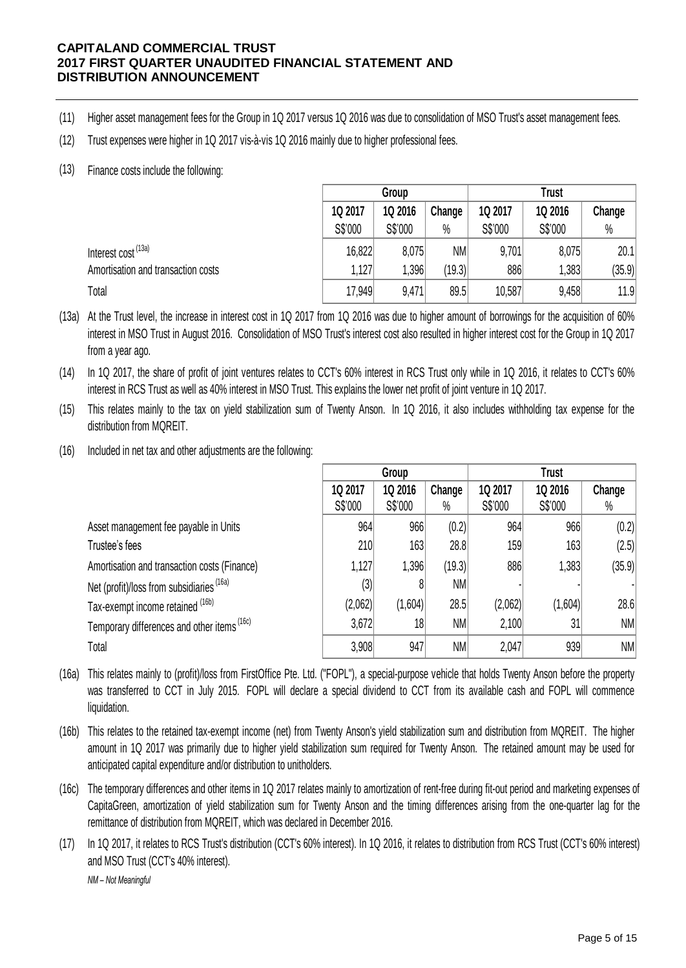- (11) Higher asset management fees for the Group in 1Q 2017 versus 1Q 2016 was due to consolidation of MSO Trust's asset management fees.
- (12) Trust expenses were higher in 1Q 2017 vis-à-vis 1Q 2016 mainly due to higher professional fees.
- (13) Finance costs include the following:

|                                                                                                                                                                                                                                                                                                | Group   |         |        | Trust   |         |        |
|------------------------------------------------------------------------------------------------------------------------------------------------------------------------------------------------------------------------------------------------------------------------------------------------|---------|---------|--------|---------|---------|--------|
|                                                                                                                                                                                                                                                                                                | 1Q 2017 | 1Q 2016 | Change | 1Q 2017 | 1Q 2016 | Change |
|                                                                                                                                                                                                                                                                                                | S\$'000 | S\$'000 | $\%$   | S\$'000 | S\$'000 | $\%$   |
| Interest cost <sup>(13a)</sup>                                                                                                                                                                                                                                                                 | 16,822  | 8,075   | NM     | 9,701   | 8,075   | 20.1   |
| Amortisation and transaction costs                                                                                                                                                                                                                                                             | 1,127   | 1,396   | (19.3) | 886     | 1,383   | (35.9) |
| Total                                                                                                                                                                                                                                                                                          | 17,949  | 9.471   | 89.5   | 10,587  | 9,458   | 11.9   |
| At the Trust level, the increase in interest cost in 1Q 2017 from 1Q 2016 was due to higher amount of borrowings for the acquisition of 60%<br>interest in MSO Trust in August 2016. Consolidation of MSO Trust's interest cost also resulted in higher interest cost for the Group in 10,2017 |         |         |        |         |         |        |

(13a) interest in MSO Trust in August 2016. Consolidation of MSO Trust's interest cost also resulted in higher interest cost for the Group in 1Q 2017 Total<br>Total 17,949 9,471 89.5 10,587 9,458 11.9<br>At the Trust level, the increase in interest cost in 1Q 2017 from 1Q 2016 was due to higher amount of borrowings for the acquisition of 60%<br>interest in MSO Trust in August 20 from a year ago.

(14) trom a year ago.<br>In 1Q 2017, the share of profit of joint ventures relates to CCT's 60% interest in RCS Trust only while in 1Q 2016, it relates to CCT's 60%<br>interest in RCS Trust as well as 40% interest in MSO Trust. This interest in RCS Trust as well as 40% interest in MSO Trust. This explains the lower net profit of joint venture in 1Q 2017.

(15) distribution from MQREIT.

(16) Included in net tax and other adjustments are the following:

|                                                        | Group   |         |        | <b>Trust</b> |         |        |
|--------------------------------------------------------|---------|---------|--------|--------------|---------|--------|
|                                                        | 1Q 2017 | 1Q 2016 | Change | 1Q 2017      | 1Q 2016 | Change |
|                                                        | S\$'000 | S\$'000 | $\%$   | S\$'000      | S\$'000 | $\%$   |
| Asset management fee payable in Units                  | 964     | 966     | (0.2)  | 964          | 966     | (0.2)  |
| Trustee's fees                                         | 210     | 163     | 28.8   | 159          | 163     | (2.5)  |
| Amortisation and transaction costs (Finance)           | 1,127   | 1,396   | (19.3) | 886          | 1,383   | (35.9) |
| Net (profit)/loss from subsidiaries (16a)              | (3)     |         | NM     |              |         |        |
| Tax-exempt income retained (16b)                       | (2,062) | (1,604) | 28.5   | (2,062)      | (1,604) | 28.6   |
| Temporary differences and other items <sup>(16c)</sup> | 3,672   | 18      | NM     | 2,100        | 31      | NM     |
| Total                                                  | 3,908   | 947     | NM     | 2,047        | 939     | NM     |

(16a) This relates mainly to (profit)/loss from FirstOffice Pte. Ltd. ("FOPL"), a special-purpose vehicle that holds Twenty Anson before the property was transferred to CCT in July 2015. FOPL will declare a special dividend to CCT from its available cash and FOPL will commence liquidation.

(16b) This relates to the retained tax-exempt income (net) from Twenty Anson's yield stabilization sum and distribution from MQREIT. The higher This relates to the retained tax-exempt income (net) from Twenty Anson's yield stabilization sum and distribution from MQREIT. The higher amount in 1Q 2017 was primarily due to higher yield stabilization sum required for T was transferred to CCT in July 2015. FOPL will declare a special dividend to CCT from its available cash and FOPL will commence<br>liquidation.<br>This relates to the retained tax-exempt income (net) from Twenty Anson's yield st anticipated capital expenditure and/or distribution to unitholders.

(16c) The temporary differences and other items in 1Q 2017 relates mainly to amortization of rent-free during fit-out period and marketing expenses of CapitaGreen, amortization of yield stabilization sum for Twenty Anson and the CapitaGreen, amortization of yield stabilization sum for Twenty Anson and the timing differences arising from the one-quarter lag for the remittance of distribution from MQREIT, which was declared in December 2016.

(17) *NM – Not Meaningful* and MSO Trust (CCT's 40% interest).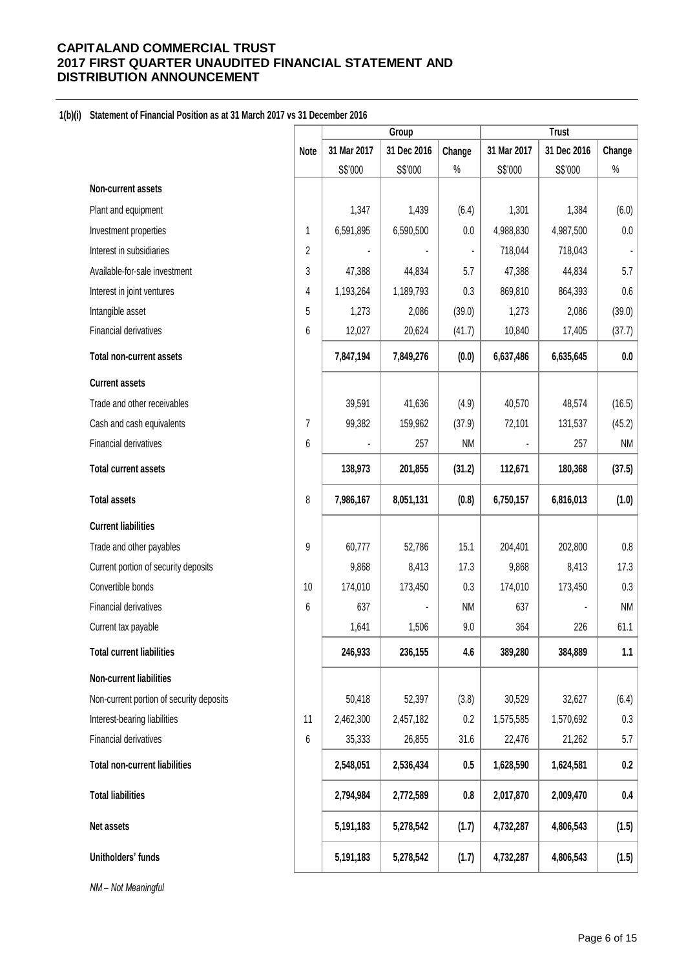## **1(b)(i) Statement of Financial Position as at 31 March 2017 vs 31 December 2016**

|                                          |             | Group       |             |                |             |             |           |
|------------------------------------------|-------------|-------------|-------------|----------------|-------------|-------------|-----------|
|                                          | <b>Note</b> | 31 Mar 2017 | 31 Dec 2016 | Change         | 31 Mar 2017 | 31 Dec 2016 | Change    |
|                                          |             | S\$'000     | S\$'000     | $\%$           | S\$'000     | S\$'000     | $\%$      |
| Non-current assets                       |             |             |             |                |             |             |           |
| Plant and equipment                      |             | 1,347       | 1,439       | (6.4)          | 1,301       | 1,384       | (6.0)     |
| Investment properties                    | 1           | 6,591,895   | 6,590,500   | 0.0            | 4,988,830   | 4,987,500   | $0.0\,$   |
| Interest in subsidiaries                 | 2           |             |             | $\blacksquare$ | 718,044     | 718,043     |           |
| Available-for-sale investment            | 3           | 47,388      | 44,834      | 5.7            | 47,388      | 44,834      | 5.7       |
| Interest in joint ventures               | 4           | 1,193,264   | 1,189,793   | 0.3            | 869,810     | 864,393     | $0.6\,$   |
| Intangible asset                         | 5           | 1,273       | 2,086       | (39.0)         | 1,273       | 2,086       | (39.0)    |
| Financial derivatives                    | 6           | 12,027      | 20,624      | (41.7)         | 10,840      | 17,405      | (37.7)    |
| <b>Total non-current assets</b>          |             | 7,847,194   | 7,849,276   | (0.0)          | 6,637,486   | 6,635,645   | 0.0       |
| <b>Current assets</b>                    |             |             |             |                |             |             |           |
| Trade and other receivables              |             | 39,591      | 41,636      | (4.9)          | 40,570      | 48,574      | (16.5)    |
| Cash and cash equivalents                | 7           | 99,382      | 159,962     | (37.9)         | 72,101      | 131,537     | (45.2)    |
| Financial derivatives                    | 6           |             | 257         | <b>NM</b>      |             | 257         | <b>NM</b> |
| <b>Total current assets</b>              |             | 138,973     | 201,855     | (31.2)         | 112,671     | 180,368     | (37.5)    |
| <b>Total assets</b>                      | 8           | 7,986,167   | 8,051,131   | (0.8)          | 6,750,157   | 6,816,013   | (1.0)     |
| <b>Current liabilities</b>               |             |             |             |                |             |             |           |
| Trade and other payables                 | 9           | 60,777      | 52,786      | 15.1           | 204,401     | 202,800     | $0.8\,$   |
| Current portion of security deposits     |             | 9,868       | 8,413       | 17.3           | 9,868       | 8,413       | 17.3      |
| Convertible bonds                        | 10          | 174,010     | 173,450     | 0.3            | 174,010     | 173,450     | 0.3       |
| Financial derivatives                    | 6           | 637         |             | <b>NM</b>      | 637         |             | <b>NM</b> |
| Current tax payable                      |             | 1,641       | 1,506       | 9.0            | 364         | 226         | 61.1      |
| <b>Total current liabilities</b>         |             | 246,933     | 236,155     | 4.6            | 389,280     | 384,889     | 1.1       |
| Non-current liabilities                  |             |             |             |                |             |             |           |
| Non-current portion of security deposits |             | 50,418      | 52,397      | (3.8)          | 30,529      | 32,627      | (6.4)     |
| Interest-bearing liabilities             | 11          | 2,462,300   | 2,457,182   | 0.2            | 1,575,585   | 1,570,692   | $0.3\,$   |
| Financial derivatives                    | 6           | 35,333      | 26,855      | 31.6           | 22,476      | 21,262      | 5.7       |
| <b>Total non-current liabilities</b>     |             | 2,548,051   | 2,536,434   | 0.5            | 1,628,590   | 1,624,581   | 0.2       |
| <b>Total liabilities</b>                 |             | 2,794,984   | 2,772,589   | 0.8            | 2,017,870   | 2,009,470   | $0.4\,$   |
| Net assets                               |             | 5,191,183   | 5,278,542   | (1.7)          | 4,732,287   | 4,806,543   | (1.5)     |
| Unitholders' funds                       |             | 5,191,183   | 5,278,542   | (1.7)          | 4,732,287   | 4,806,543   | (1.5)     |

*NM – Not Meaningful*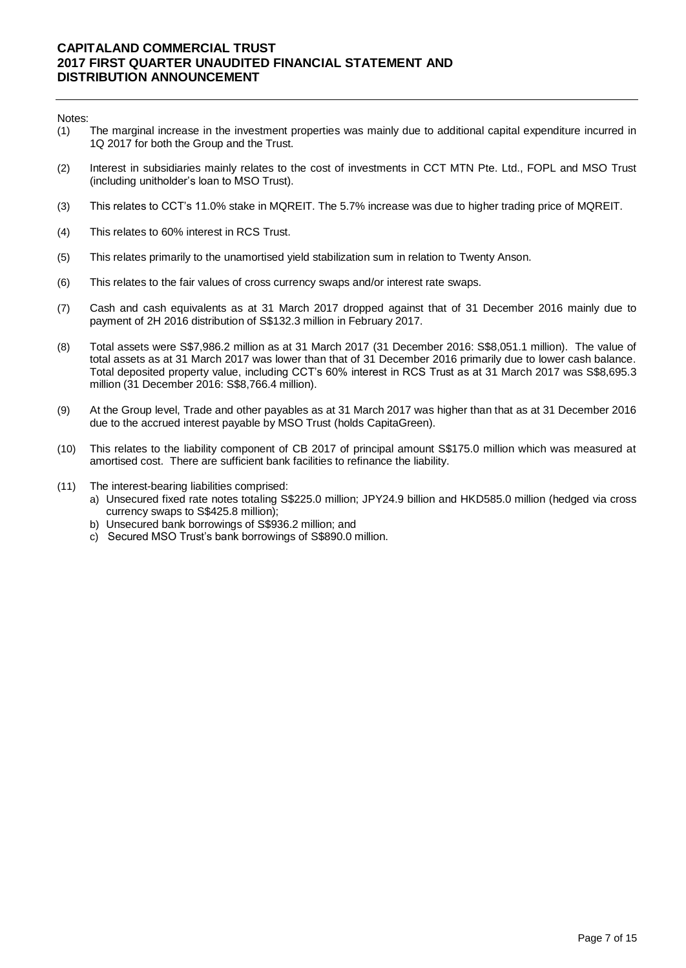Notes:

- (1) The marginal increase in the investment properties was mainly due to additional capital expenditure incurred in 1Q 2017 for both the Group and the Trust.
- (2) Interest in subsidiaries mainly relates to the cost of investments in CCT MTN Pte. Ltd., FOPL and MSO Trust (including unitholder's loan to MSO Trust).
- (3) This relates to CCT's 11.0% stake in MQREIT. The 5.7% increase was due to higher trading price of MQREIT.
- (4) This relates to 60% interest in RCS Trust.
- (5) This relates primarily to the unamortised yield stabilization sum in relation to Twenty Anson.
- (6) This relates to the fair values of cross currency swaps and/or interest rate swaps.
- (7) Cash and cash equivalents as at 31 March 2017 dropped against that of 31 December 2016 mainly due to payment of 2H 2016 distribution of S\$132.3 million in February 2017.
- (8) Total assets were S\$7,986.2 million as at 31 March 2017 (31 December 2016: S\$8,051.1 million). The value of total assets as at 31 March 2017 was lower than that of 31 December 2016 primarily due to lower cash balance. Total deposited property value, including CCT's 60% interest in RCS Trust as at 31 March 2017 was S\$8,695.3 million (31 December 2016: S\$8,766.4 million).
- (9) At the Group level, Trade and other payables as at 31 March 2017 was higher than that as at 31 December 2016 due to the accrued interest payable by MSO Trust (holds CapitaGreen).
- (10) This relates to the liability component of CB 2017 of principal amount S\$175.0 million which was measured at amortised cost. There are sufficient bank facilities to refinance the liability.
- (11) The interest-bearing liabilities comprised:
	- a) Unsecured fixed rate notes totaling S\$225.0 million; JPY24.9 billion and HKD585.0 million (hedged via cross currency swaps to S\$425.8 million);
	- b) Unsecured bank borrowings of S\$936.2 million; and
	- c) Secured MSO Trust's bank borrowings of S\$890.0 million.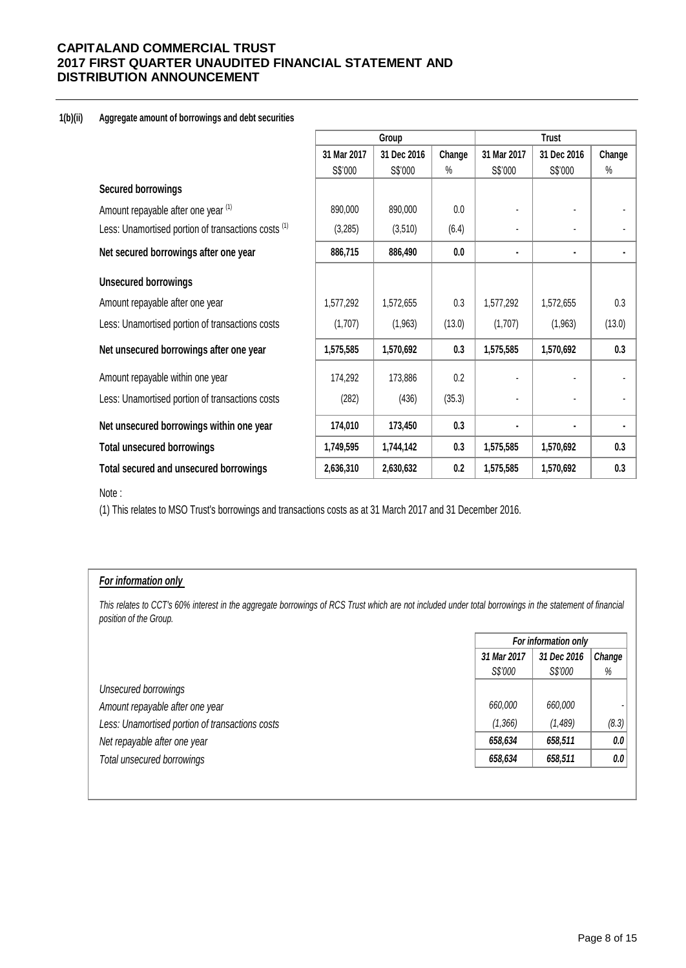#### **1(b)(ii) Aggregate amount of borrowings and debt securities**

|                                                                |             | Group       |        |             | <b>Trust</b> |        |
|----------------------------------------------------------------|-------------|-------------|--------|-------------|--------------|--------|
|                                                                | 31 Mar 2017 | 31 Dec 2016 | Change | 31 Mar 2017 | 31 Dec 2016  | Change |
|                                                                | S\$'000     | S\$'000     | $\%$   | S\$'000     | S\$'000      | $\%$   |
| <b>Secured borrowings</b>                                      |             |             |        |             |              |        |
| Amount repayable after one year (1)                            | 890,000     | 890,000     | 0.0    |             |              |        |
| Less: Unamortised portion of transactions costs <sup>(1)</sup> | (3,285)     | (3,510)     | (6.4)  |             |              |        |
| Net secured borrowings after one year                          | 886,715     | 886,490     | 0.0    | ٠           | ٠            |        |
| <b>Unsecured borrowings</b>                                    |             |             |        |             |              |        |
| Amount repayable after one year                                | 1,577,292   | 1,572,655   | 0.3    | 1,577,292   | 1,572,655    | 0.3    |
| Less: Unamortised portion of transactions costs                | (1,707)     | (1,963)     | (13.0) | (1,707)     | (1,963)      | (13.0) |
| Net unsecured borrowings after one year                        | 1,575,585   | 1,570,692   | 0.3    | 1,575,585   | 1,570,692    | 0.3    |
| Amount repayable within one year                               | 174,292     | 173,886     | 0.2    |             |              |        |
| Less: Unamortised portion of transactions costs                | (282)       | (436)       | (35.3) |             |              |        |
| Net unsecured borrowings within one year                       | 174,010     | 173,450     | 0.3    | ٠           |              |        |
| <b>Total unsecured borrowings</b>                              | 1,749,595   | 1,744,142   | 0.3    | 1,575,585   | 1,570,692    | 0.3    |
| Total secured and unsecured borrowings                         | 2,636,310   | 2,630,632   | 0.2    | 1,575,585   | 1,570,692    | 0.3    |

#### Note :

(1) This relates to MSO Trust's borrowings and transactions costs as at 31 March 2017 and 31 December 2016.

## *For information only*

This relates to CCT's 60% interest in the aggregate borrowings of RCS Trust which are not included under total borrowings in the statement of financial *position of the Group.*

|                                                 | For information only |             |        |
|-------------------------------------------------|----------------------|-------------|--------|
|                                                 | 31 Mar 2017          | 31 Dec 2016 | Change |
|                                                 | S\$'000              | S\$'000     | %      |
| Unsecured borrowings                            |                      |             |        |
| Amount repayable after one year                 | 660.000              | 660,000     |        |
| Less: Unamortised portion of transactions costs | (1,366)              | (1,489)     | (8.3)  |
| Net repayable after one year                    | 658,634              | 658,511     | 0.0    |
| Total unsecured borrowings                      | 658,634              | 658,511     | 0.0    |
|                                                 |                      |             |        |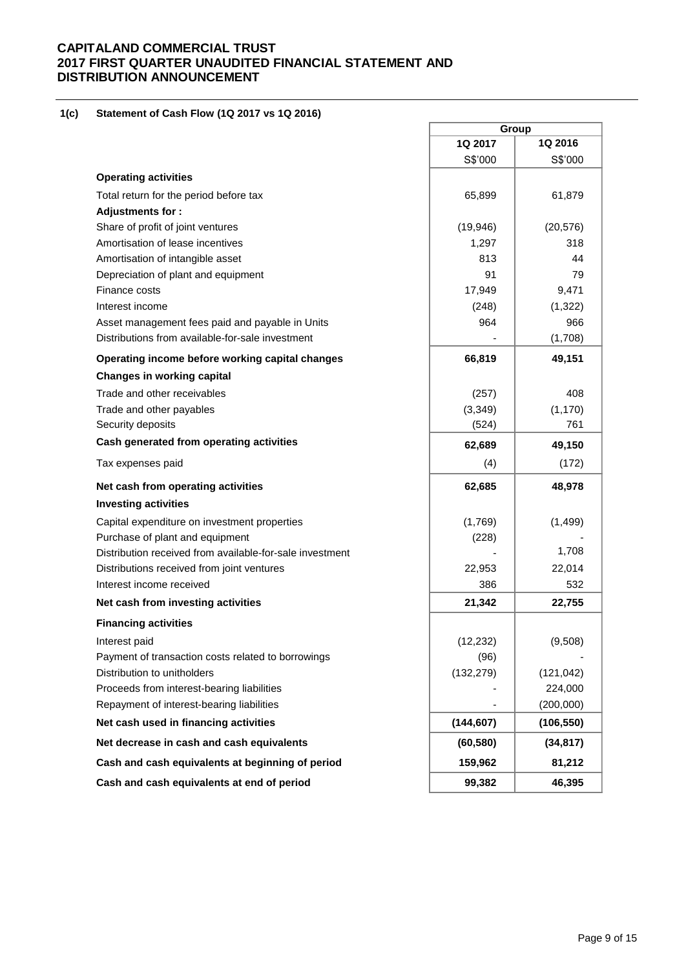#### **1(c)(i) Statement of Cash Flow (1Q 2017 vs 1Q 2016)**

|                                                          |            | Group      |
|----------------------------------------------------------|------------|------------|
|                                                          | 1Q 2017    | 1Q 2016    |
|                                                          | S\$'000    | S\$'000    |
| <b>Operating activities</b>                              |            |            |
| Total return for the period before tax                   | 65,899     | 61,879     |
| Adjustments for:                                         |            |            |
| Share of profit of joint ventures                        | (19, 946)  | (20, 576)  |
| Amortisation of lease incentives                         | 1,297      | 318        |
| Amortisation of intangible asset                         | 813        | 44         |
| Depreciation of plant and equipment                      | 91         | 79         |
| Finance costs                                            | 17,949     | 9,471      |
| Interest income                                          | (248)      | (1, 322)   |
| Asset management fees paid and payable in Units          | 964        | 966        |
| Distributions from available-for-sale investment         |            | (1,708)    |
| Operating income before working capital changes          | 66,819     | 49,151     |
| <b>Changes in working capital</b>                        |            |            |
| Trade and other receivables                              | (257)      | 408        |
| Trade and other payables                                 | (3, 349)   | (1, 170)   |
| Security deposits                                        | (524)      | 761        |
| Cash generated from operating activities                 | 62,689     | 49,150     |
| Tax expenses paid                                        | (4)        | (172)      |
| Net cash from operating activities                       | 62,685     | 48,978     |
| <b>Investing activities</b>                              |            |            |
| Capital expenditure on investment properties             | (1,769)    | (1,499)    |
| Purchase of plant and equipment                          | (228)      |            |
| Distribution received from available-for-sale investment |            | 1,708      |
| Distributions received from joint ventures               | 22,953     | 22,014     |
| Interest income received                                 | 386        | 532        |
| Net cash from investing activities                       | 21,342     | 22,755     |
| <b>Financing activities</b>                              |            |            |
| Interest paid                                            | (12, 232)  | (9,508)    |
| Payment of transaction costs related to borrowings       | (96)       |            |
| Distribution to unitholders                              | (132, 279) | (121, 042) |
| Proceeds from interest-bearing liabilities               |            | 224,000    |
| Repayment of interest-bearing liabilities                |            | (200,000)  |
| Net cash used in financing activities                    | (144, 607) | (106, 550) |
| Net decrease in cash and cash equivalents                | (60, 580)  | (34, 817)  |
| Cash and cash equivalents at beginning of period         | 159,962    | 81,212     |
| Cash and cash equivalents at end of period               | 99,382     | 46,395     |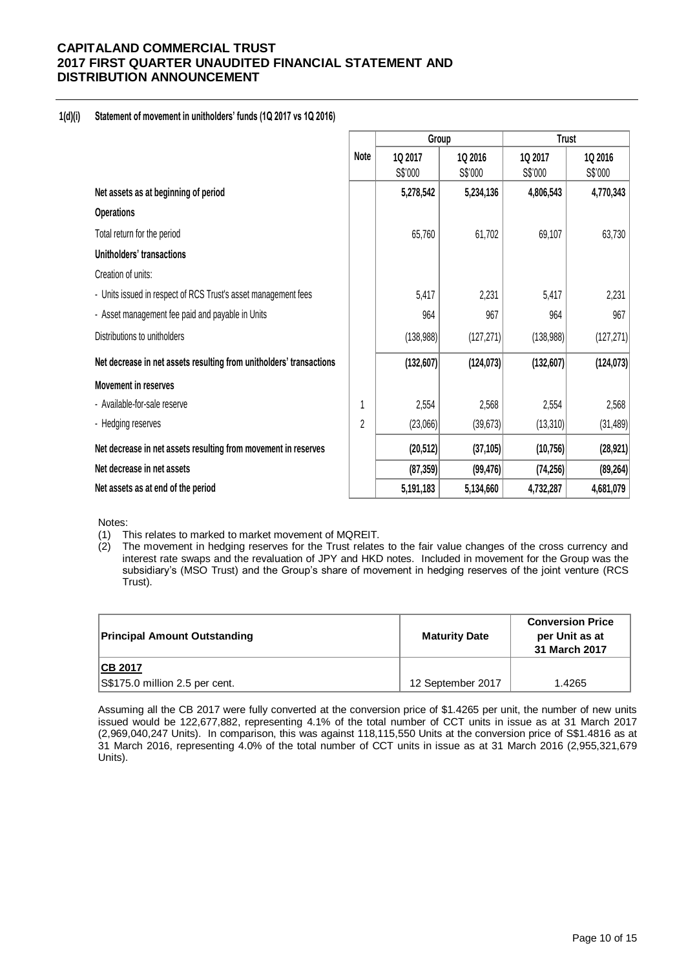## **1(d)(i) Statement of movement in unitholders' funds (1Q 2017 vs 1Q 2016)**

|                                                                     |             | Group      |            | <b>Trust</b> |            |  |
|---------------------------------------------------------------------|-------------|------------|------------|--------------|------------|--|
|                                                                     | <b>Note</b> | 1Q 2017    | 1Q 2016    | 1Q 2017      | 1Q 2016    |  |
|                                                                     |             | S\$'000    | S\$'000    | S\$'000      | S\$'000    |  |
| Net assets as at beginning of period                                |             | 5,278,542  | 5,234,136  | 4,806,543    | 4,770,343  |  |
| <b>Operations</b>                                                   |             |            |            |              |            |  |
| Total return for the period                                         |             | 65,760     | 61,702     | 69,107       | 63,730     |  |
| Unitholders' transactions                                           |             |            |            |              |            |  |
| Creation of units:                                                  |             |            |            |              |            |  |
| - Units issued in respect of RCS Trust's asset management fees      |             | 5,417      | 2,231      | 5,417        | 2,231      |  |
| - Asset management fee paid and payable in Units                    |             | 964        | 967        | 964          | 967        |  |
| Distributions to unitholders                                        |             | (138,988)  | (127, 271) | (138, 988)   | (127, 271) |  |
| Net decrease in net assets resulting from unitholders' transactions |             | (132, 607) | (124, 073) | (132, 607)   | (124, 073) |  |
| <b>Movement in reserves</b>                                         |             |            |            |              |            |  |
| - Available-for-sale reserve                                        |             | 2,554      | 2,568      | 2,554        | 2,568      |  |
| - Hedging reserves                                                  | 2           | (23,066)   | (39, 673)  | (13, 310)    | (31, 489)  |  |
| Net decrease in net assets resulting from movement in reserves      |             | (20, 512)  | (37, 105)  | (10, 756)    | (28, 921)  |  |
| Net decrease in net assets                                          |             | (87, 359)  | (99, 476)  | (74, 256)    | (89, 264)  |  |
| Net assets as at end of the period                                  |             | 5,191,183  | 5,134,660  | 4,732,287    | 4,681,079  |  |

Notes:

(1) This relates to marked to market movement of MQREIT.

(2) The movement in hedging reserves for the Trust relates to the fair value changes of the cross currency and interest rate swaps and the revaluation of JPY and HKD notes. Included in movement for the Group was the subsidiary's (MSO Trust) and the Group's share of movement in hedging reserves of the joint venture (RCS Trust).

| <b>Principal Amount Outstanding</b>              | <b>Maturity Date</b> | <b>Conversion Price</b><br>per Unit as at<br>31 March 2017 |
|--------------------------------------------------|----------------------|------------------------------------------------------------|
| <b>CB 2017</b><br>S\$175.0 million 2.5 per cent. | 12 September 2017    | 1.4265                                                     |

Assuming all the CB 2017 were fully converted at the conversion price of \$1.4265 per unit, the number of new units issued would be 122,677,882, representing 4.1% of the total number of CCT units in issue as at 31 March 2017 (2,969,040,247 Units). In comparison, this was against 118,115,550 Units at the conversion price of S\$1.4816 as at 31 March 2016, representing 4.0% of the total number of CCT units in issue as at 31 March 2016 (2,955,321,679 Units).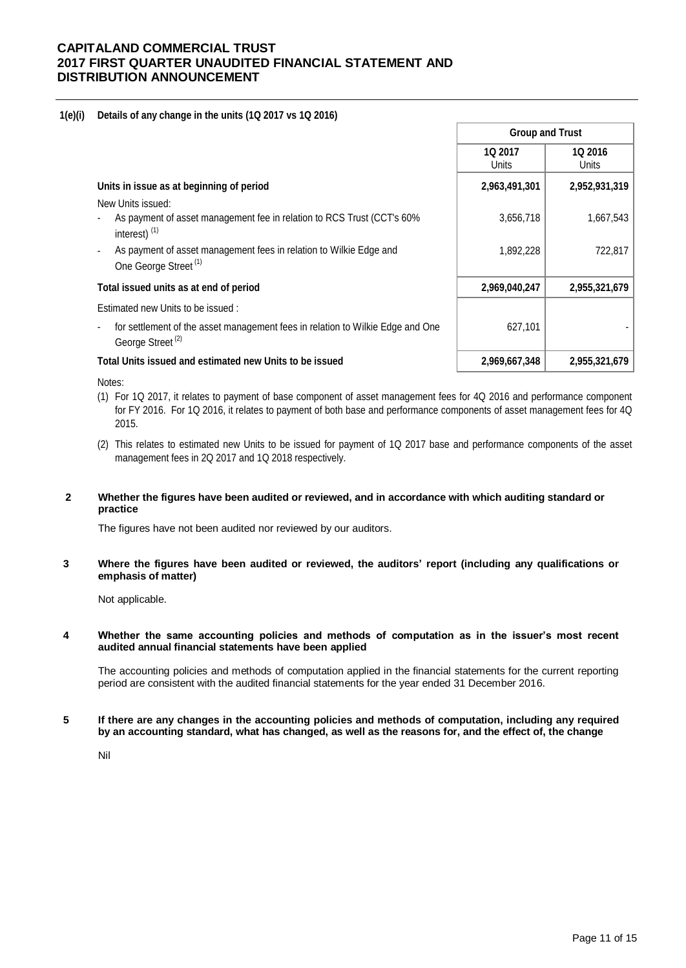#### **1(e)(i) Details of any change in the units (1Q 2017 vs 1Q 2016)**

|                                                                                                                | <b>Group and Trust</b> |                  |  |
|----------------------------------------------------------------------------------------------------------------|------------------------|------------------|--|
|                                                                                                                | 1Q 2017<br>Units       | 1Q 2016<br>Units |  |
| Units in issue as at beginning of period                                                                       | 2,963,491,301          | 2,952,931,319    |  |
| New Units issued:                                                                                              |                        |                  |  |
| As payment of asset management fee in relation to RCS Trust (CCT's 60%<br>interest) <sup>(1)</sup>             | 3,656,718              | 1,667,543        |  |
| As payment of asset management fees in relation to Wilkie Edge and<br>One George Street <sup>(1)</sup>         | 1,892,228              | 722,817          |  |
| Total issued units as at end of period                                                                         | 2,969,040,247          | 2,955,321,679    |  |
| Estimated new Units to be issued:                                                                              |                        |                  |  |
| for settlement of the asset management fees in relation to Wilkie Edge and One<br>George Street <sup>(2)</sup> | 627,101                |                  |  |
| Total Units issued and estimated new Units to be issued                                                        | 2,969,667,348          | 2,955,321,679    |  |

Notes:

- (1) For 1Q 2017, it relates to payment of base component of asset management fees for 4Q 2016 and performance component for FY 2016. For 1Q 2016, it relates to payment of both base and performance components of asset management fees for 4Q 2015.
- (2) This relates to estimated new Units to be issued for payment of 1Q 2017 base and performance components of the asset management fees in 2Q 2017 and 1Q 2018 respectively.

#### **2 Whether the figures have been audited or reviewed, and in accordance with which auditing standard or practice**

The figures have not been audited nor reviewed by our auditors.

**3 Where the figures have been audited or reviewed, the auditors' report (including any qualifications or emphasis of matter)**

Not applicable.

#### **4 Whether the same accounting policies and methods of computation as in the issuer's most recent audited annual financial statements have been applied**

The accounting policies and methods of computation applied in the financial statements for the current reporting period are consistent with the audited financial statements for the year ended 31 December 2016.

#### **5 If there are any changes in the accounting policies and methods of computation, including any required by an accounting standard, what has changed, as well as the reasons for, and the effect of, the change**

Nil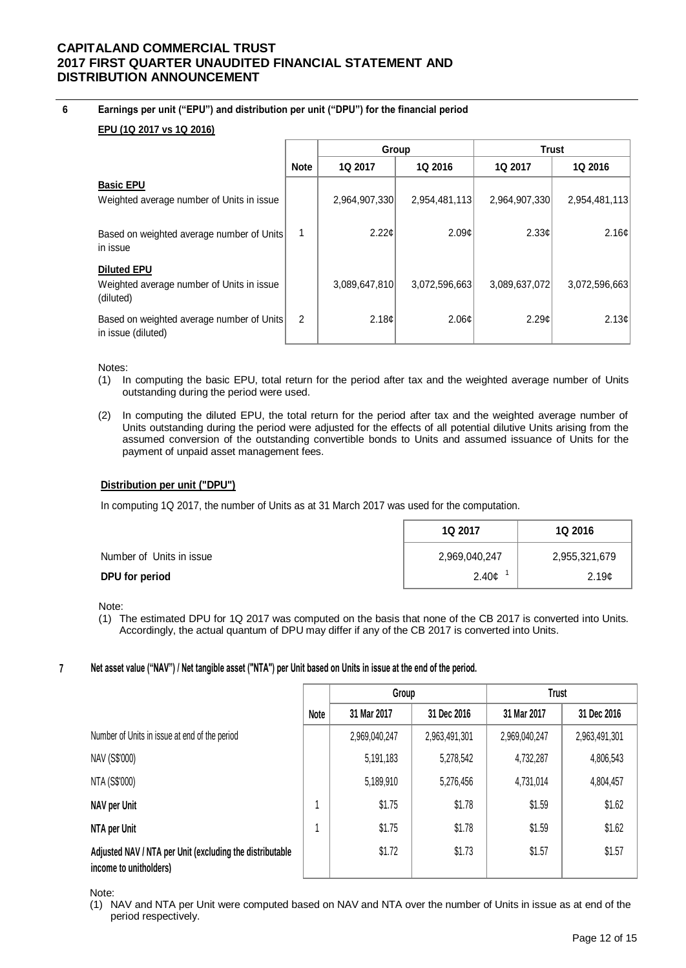#### **6 Earnings per unit ("EPU") and distribution per unit ("DPU") for the financial period**

## **EPU (1Q 2017 vs 1Q 2016)**

|                                                                              |             | Group              |               | <b>Trust</b>  |                |
|------------------------------------------------------------------------------|-------------|--------------------|---------------|---------------|----------------|
|                                                                              | <b>Note</b> | 1Q 2017            | 1Q 2016       | 1Q 2017       | <b>1Q 2016</b> |
| <b>Basic EPU</b><br>Weighted average number of Units in issue                |             | 2,964,907,330      | 2,954,481,113 | 2,964,907,330 | 2,954,481,113  |
| Based on weighted average number of Units<br>in issue                        |             | $2.22 \mathcal{C}$ | 2.09c         | 2.33c         | 2.16¢          |
| <b>Diluted EPU</b><br>Weighted average number of Units in issue<br>(diluted) |             | 3,089,647,810      | 3,072,596,663 | 3,089,637,072 | 3,072,596,663  |
| Based on weighted average number of Units<br>in issue (diluted)              | 2           | 2.18c              | 2.06¢         | 2.29c         | 2.13¢          |

Notes:

- (1) In computing the basic EPU, total return for the period after tax and the weighted average number of Units outstanding during the period were used.
- (2) In computing the diluted EPU, the total return for the period after tax and the weighted average number of Units outstanding during the period were adjusted for the effects of all potential dilutive Units arising from the assumed conversion of the outstanding convertible bonds to Units and assumed issuance of Units for the payment of unpaid asset management fees.

#### **Distribution per unit ("DPU")**

In computing 1Q 2017, the number of Units as at 31 March 2017 was used for the computation.

|                          | 1Q 2017       | <b>1Q 2016</b>    |
|--------------------------|---------------|-------------------|
| Number of Units in issue | 2,969,040,247 | 2,955,321,679     |
| DPU for period           | 2.40¢         | 2.19 <sub>c</sub> |

Note:

(1) The estimated DPU for 1Q 2017 was computed on the basis that none of the CB 2017 is converted into Units. Accordingly, the actual quantum of DPU may differ if any of the CB 2017 is converted into Units.

#### **7 Net asset value ("NAV") / Net tangible asset ("NTA") per Unit based on Units in issue at the end of the period.**

|                                                                                    |      | Group         |               | <b>Trust</b>  |               |
|------------------------------------------------------------------------------------|------|---------------|---------------|---------------|---------------|
|                                                                                    | Note | 31 Mar 2017   | 31 Dec 2016   | 31 Mar 2017   | 31 Dec 2016   |
| Number of Units in issue at end of the period                                      |      | 2,969,040,247 | 2,963,491,301 | 2,969,040,247 | 2,963,491,301 |
| NAV (S\$'000)                                                                      |      | 5,191,183     | 5,278,542     | 4,732,287     | 4,806,543     |
| NTA (S\$'000)                                                                      |      | 5,189,910     | 5,276,456     | 4,731,014     | 4,804,457     |
| NAV per Unit                                                                       |      | \$1.75        | \$1.78        | \$1.59        | \$1.62        |
| NTA per Unit                                                                       |      | \$1.75        | \$1.78        | \$1.59        | \$1.62        |
| Adjusted NAV / NTA per Unit (excluding the distributable<br>income to unitholders) |      | \$1.72        | \$1.73        | \$1.57        | \$1.57        |

Note:

(1) NAV and NTA per Unit were computed based on NAV and NTA over the number of Units in issue as at end of the period respectively.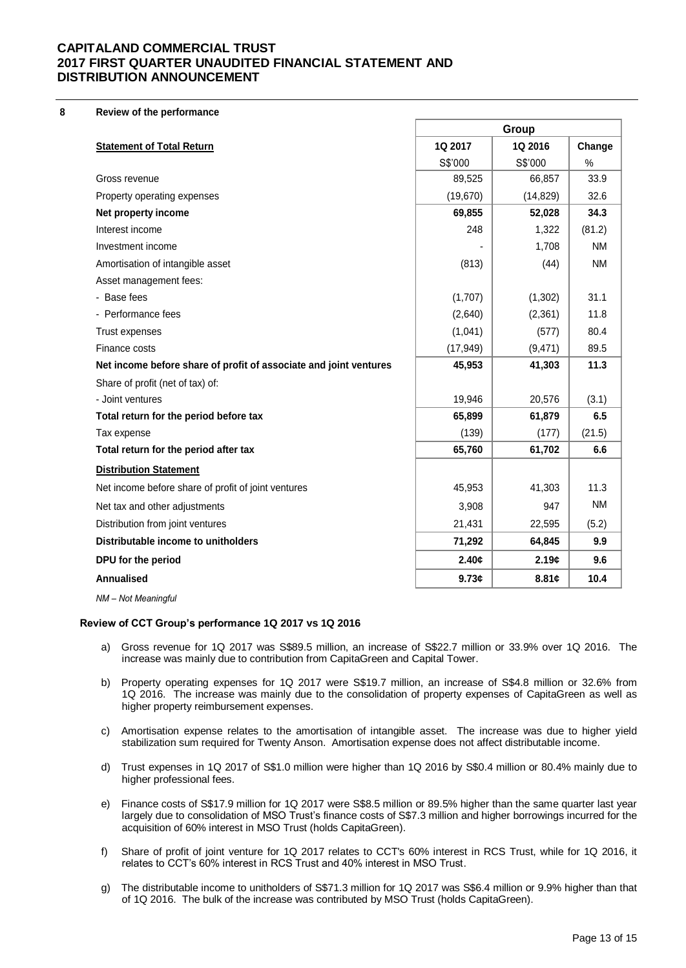**8 Review of the performance**

|                                                                   | Group     |           |           |
|-------------------------------------------------------------------|-----------|-----------|-----------|
| <b>Statement of Total Return</b>                                  | 1Q 2017   | 1Q 2016   | Change    |
|                                                                   | S\$'000   | S\$'000   | $\%$      |
| Gross revenue                                                     | 89,525    | 66,857    | 33.9      |
| Property operating expenses                                       | (19, 670) | (14, 829) | 32.6      |
| Net property income                                               | 69,855    | 52,028    | 34.3      |
| Interest income                                                   | 248       | 1,322     | (81.2)    |
| Investment income                                                 |           | 1,708     | <b>NM</b> |
| Amortisation of intangible asset                                  | (813)     | (44)      | <b>NM</b> |
| Asset management fees:                                            |           |           |           |
| - Base fees                                                       | (1,707)   | (1, 302)  | 31.1      |
| - Performance fees                                                | (2,640)   | (2,361)   | 11.8      |
| Trust expenses                                                    | (1,041)   | (577)     | 80.4      |
| Finance costs                                                     | (17, 949) | (9, 471)  | 89.5      |
| Net income before share of profit of associate and joint ventures | 45,953    | 41,303    | 11.3      |
| Share of profit (net of tax) of:                                  |           |           |           |
| - Joint ventures                                                  | 19,946    | 20,576    | (3.1)     |
| Total return for the period before tax                            | 65,899    | 61,879    | 6.5       |
| Tax expense                                                       | (139)     | (177)     | (21.5)    |
| Total return for the period after tax                             | 65,760    | 61,702    | 6.6       |
| <b>Distribution Statement</b>                                     |           |           |           |
| Net income before share of profit of joint ventures               | 45,953    | 41,303    | 11.3      |
| Net tax and other adjustments                                     | 3,908     | 947       | <b>NM</b> |
| Distribution from joint ventures                                  | 21,431    | 22,595    | (5.2)     |
| Distributable income to unitholders                               | 71,292    | 64,845    | 9.9       |
| DPU for the period                                                | 2.40c     | 2.19c     | 9.6       |
| Annualised                                                        | 9.73c     | 8.81c     | 10.4      |
| NM - Not Meaningful                                               |           |           |           |

#### **Review of CCT Group's performance 1Q 2017 vs 1Q 2016**

- a) Gross revenue for 1Q 2017 was S\$89.5 million, an increase of S\$22.7 million or 33.9% over 1Q 2016. The increase was mainly due to contribution from CapitaGreen and Capital Tower.
- b) Property operating expenses for 1Q 2017 were S\$19.7 million, an increase of S\$4.8 million or 32.6% from 1Q 2016. The increase was mainly due to the consolidation of property expenses of CapitaGreen as well as higher property reimbursement expenses.
- c) Amortisation expense relates to the amortisation of intangible asset. The increase was due to higher yield stabilization sum required for Twenty Anson. Amortisation expense does not affect distributable income.
- d) Trust expenses in 1Q 2017 of S\$1.0 million were higher than 1Q 2016 by S\$0.4 million or 80.4% mainly due to higher professional fees.
- e) Finance costs of S\$17.9 million for 1Q 2017 were S\$8.5 million or 89.5% higher than the same quarter last year largely due to consolidation of MSO Trust's finance costs of S\$7.3 million and higher borrowings incurred for the acquisition of 60% interest in MSO Trust (holds CapitaGreen).
- f) Share of profit of joint venture for 1Q 2017 relates to CCT's 60% interest in RCS Trust, while for 1Q 2016, it relates to CCT's 60% interest in RCS Trust and 40% interest in MSO Trust.
- g) The distributable income to unitholders of S\$71.3 million for 1Q 2017 was S\$6.4 million or 9.9% higher than that of 1Q 2016. The bulk of the increase was contributed by MSO Trust (holds CapitaGreen).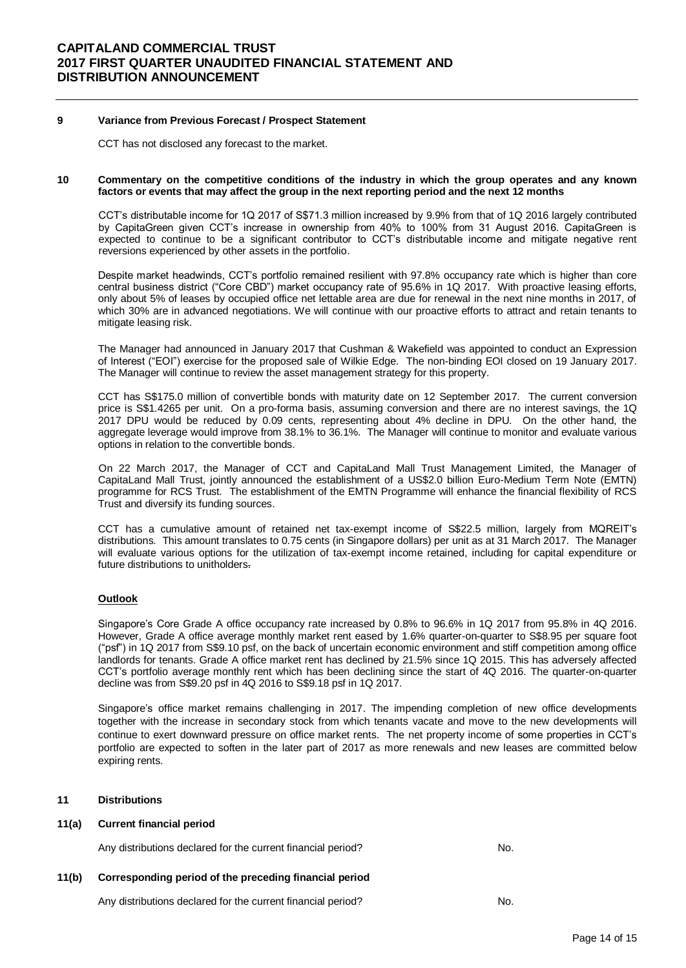#### **9 Variance from Previous Forecast / Prospect Statement**

CCT has not disclosed any forecast to the market.

#### **10 Commentary on the competitive conditions of the industry in which the group operates and any known factors or events that may affect the group in the next reporting period and the next 12 months**

CCT's distributable income for 1Q 2017 of S\$71.3 million increased by 9.9% from that of 1Q 2016 largely contributed by CapitaGreen given CCT's increase in ownership from 40% to 100% from 31 August 2016. CapitaGreen is expected to continue to be a significant contributor to CCT's distributable income and mitigate negative rent reversions experienced by other assets in the portfolio.

Despite market headwinds, CCT's portfolio remained resilient with 97.8% occupancy rate which is higher than core central business district ("Core CBD") market occupancy rate of 95.6% in 1Q 2017. With proactive leasing efforts, only about 5% of leases by occupied office net lettable area are due for renewal in the next nine months in 2017, of which 30% are in advanced negotiations. We will continue with our proactive efforts to attract and retain tenants to mitigate leasing risk.

The Manager had announced in January 2017 that Cushman & Wakefield was appointed to conduct an Expression of Interest ("EOI") exercise for the proposed sale of Wilkie Edge. The non-binding EOI closed on 19 January 2017. The Manager will continue to review the asset management strategy for this property.

CCT has S\$175.0 million of convertible bonds with maturity date on 12 September 2017. The current conversion price is S\$1.4265 per unit. On a pro-forma basis, assuming conversion and there are no interest savings, the 1Q 2017 DPU would be reduced by 0.09 cents, representing about 4% decline in DPU. On the other hand, the aggregate leverage would improve from 38.1% to 36.1%. The Manager will continue to monitor and evaluate various options in relation to the convertible bonds.

On 22 March 2017, the Manager of CCT and CapitaLand Mall Trust Management Limited, the Manager of CapitaLand Mall Trust, jointly announced the establishment of a US\$2.0 billion Euro-Medium Term Note (EMTN) programme for RCS Trust. The establishment of the EMTN Programme will enhance the financial flexibility of RCS Trust and diversify its funding sources.

CCT has a cumulative amount of retained net tax-exempt income of S\$22.5 million, largely from MQREIT's distributions. This amount translates to 0.75 cents (in Singapore dollars) per unit as at 31 March 2017. The Manager will evaluate various options for the utilization of tax-exempt income retained, including for capital expenditure or future distributions to unitholders.

#### **Outlook**

Singapore's Core Grade A office occupancy rate increased by 0.8% to 96.6% in 1Q 2017 from 95.8% in 4Q 2016. However, Grade A office average monthly market rent eased by 1.6% quarter-on-quarter to S\$8.95 per square foot ("psf") in 1Q 2017 from S\$9.10 psf, on the back of uncertain economic environment and stiff competition among office landlords for tenants. Grade A office market rent has declined by 21.5% since 1Q 2015. This has adversely affected CCT's portfolio average monthly rent which has been declining since the start of 4Q 2016. The quarter-on-quarter decline was from S\$9.20 psf in 4Q 2016 to S\$9.18 psf in 1Q 2017.

Singapore's office market remains challenging in 2017. The impending completion of new office developments together with the increase in secondary stock from which tenants vacate and move to the new developments will continue to exert downward pressure on office market rents. The net property income of some properties in CCT's portfolio are expected to soften in the later part of 2017 as more renewals and new leases are committed below expiring rents.

#### **11 Distributions**

#### **11(a) Current financial period**

Any distributions declared for the current financial period? No.

## **11(b) Corresponding period of the preceding financial period**

Any distributions declared for the current financial period? No.